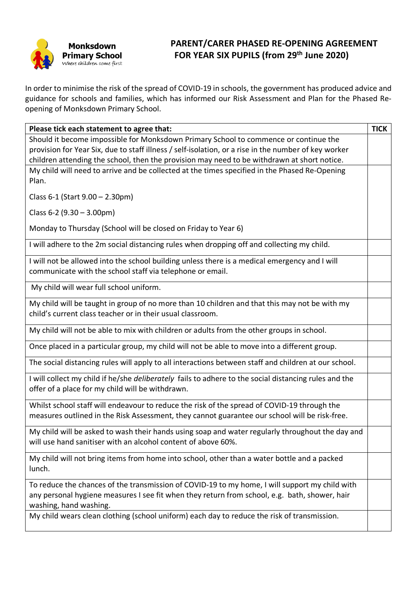

## **PARENT/CARER PHASED RE-OPENING AGREEMENT FOR YEAR SIX PUPILS (from 29th June 2020)**

In order to minimise the risk of the spread of COVID-19 in schools, the government has produced advice and guidance for schools and families, which has informed our Risk Assessment and Plan for the Phased Reopening of Monksdown Primary School.

| Please tick each statement to agree that:                                                                                                                                                    | <b>TICK</b> |
|----------------------------------------------------------------------------------------------------------------------------------------------------------------------------------------------|-------------|
| Should it become impossible for Monksdown Primary School to commence or continue the                                                                                                         |             |
| provision for Year Six, due to staff illness / self-isolation, or a rise in the number of key worker                                                                                         |             |
| children attending the school, then the provision may need to be withdrawn at short notice.                                                                                                  |             |
| My child will need to arrive and be collected at the times specified in the Phased Re-Opening                                                                                                |             |
| Plan.                                                                                                                                                                                        |             |
| Class 6-1 (Start 9.00 - 2.30pm)                                                                                                                                                              |             |
| Class $6-2$ (9.30 – 3.00pm)                                                                                                                                                                  |             |
| Monday to Thursday (School will be closed on Friday to Year 6)                                                                                                                               |             |
| I will adhere to the 2m social distancing rules when dropping off and collecting my child.                                                                                                   |             |
| I will not be allowed into the school building unless there is a medical emergency and I will                                                                                                |             |
| communicate with the school staff via telephone or email.                                                                                                                                    |             |
| My child will wear full school uniform.                                                                                                                                                      |             |
| My child will be taught in group of no more than 10 children and that this may not be with my                                                                                                |             |
| child's current class teacher or in their usual classroom.                                                                                                                                   |             |
| My child will not be able to mix with children or adults from the other groups in school.                                                                                                    |             |
| Once placed in a particular group, my child will not be able to move into a different group.                                                                                                 |             |
| The social distancing rules will apply to all interactions between staff and children at our school.                                                                                         |             |
| I will collect my child if he/she deliberately fails to adhere to the social distancing rules and the<br>offer of a place for my child will be withdrawn.                                    |             |
| Whilst school staff will endeavour to reduce the risk of the spread of COVID-19 through the<br>measures outlined in the Risk Assessment, they cannot guarantee our school will be risk-free. |             |
|                                                                                                                                                                                              |             |
| My child will be asked to wash their hands using soap and water regularly throughout the day and<br>will use hand sanitiser with an alcohol content of above 60%.                            |             |
| My child will not bring items from home into school, other than a water bottle and a packed                                                                                                  |             |
| lunch.                                                                                                                                                                                       |             |
| To reduce the chances of the transmission of COVID-19 to my home, I will support my child with                                                                                               |             |
| any personal hygiene measures I see fit when they return from school, e.g. bath, shower, hair                                                                                                |             |
| washing, hand washing.                                                                                                                                                                       |             |
| My child wears clean clothing (school uniform) each day to reduce the risk of transmission.                                                                                                  |             |